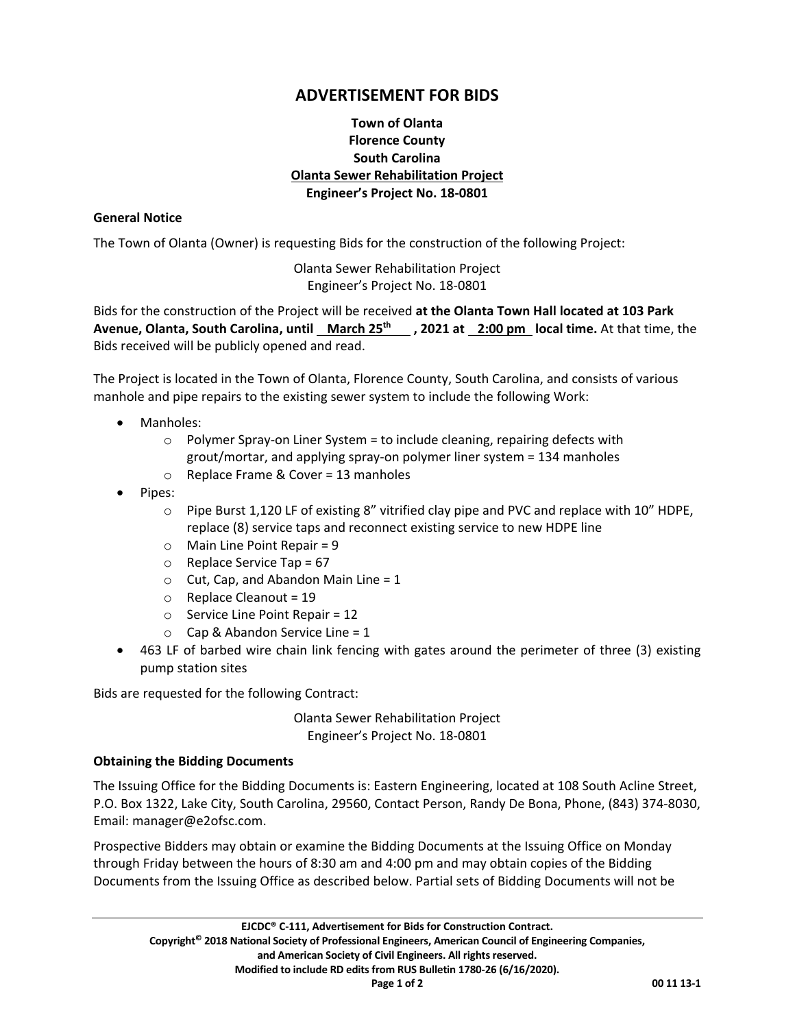# **ADVERTISEMENT FOR BIDS**

# **Town of Olanta Florence County South Carolina Olanta Sewer Rehabilitation Project Engineer's Project No. 18‐0801**

#### **General Notice**

The Town of Olanta (Owner) is requesting Bids for the construction of the following Project:

Olanta Sewer Rehabilitation Project Engineer's Project No. 18‐0801

Bids for the construction of the Project will be received **at the Olanta Town Hall located at 103 Park Avenue, Olanta, South Carolina, until March 25th , 2021 at 2:00 pm local time.** At that time, the Bids received will be publicly opened and read.

The Project is located in the Town of Olanta, Florence County, South Carolina, and consists of various manhole and pipe repairs to the existing sewer system to include the following Work:

- Manholes:
	- o Polymer Spray‐on Liner System = to include cleaning, repairing defects with grout/mortar, and applying spray‐on polymer liner system = 134 manholes
	- o Replace Frame & Cover = 13 manholes
- Pipes:
	- $\circ$  Pipe Burst 1,120 LF of existing 8" vitrified clay pipe and PVC and replace with 10" HDPE, replace (8) service taps and reconnect existing service to new HDPE line
	- $\circ$  Main Line Point Repair = 9
	- $\circ$  Replace Service Tap = 67
	- $\circ$  Cut, Cap, and Abandon Main Line = 1
	- $\circ$  Replace Cleanout = 19
	- $\circ$  Service Line Point Repair = 12
	- $\circ$  Cap & Abandon Service Line = 1
- $\bullet$  463 LF of barbed wire chain link fencing with gates around the perimeter of three (3) existing pump station sites

Bids are requested for the following Contract:

Olanta Sewer Rehabilitation Project Engineer's Project No. 18‐0801

## **Obtaining the Bidding Documents**

The Issuing Office for the Bidding Documents is: Eastern Engineering, located at 108 South Acline Street, P.O. Box 1322, Lake City, South Carolina, 29560, Contact Person, Randy De Bona, Phone, (843) 374‐8030, Email: manager@e2ofsc.com.

Prospective Bidders may obtain or examine the Bidding Documents at the Issuing Office on Monday through Friday between the hours of 8:30 am and 4:00 pm and may obtain copies of the Bidding Documents from the Issuing Office as described below. Partial sets of Bidding Documents will not be